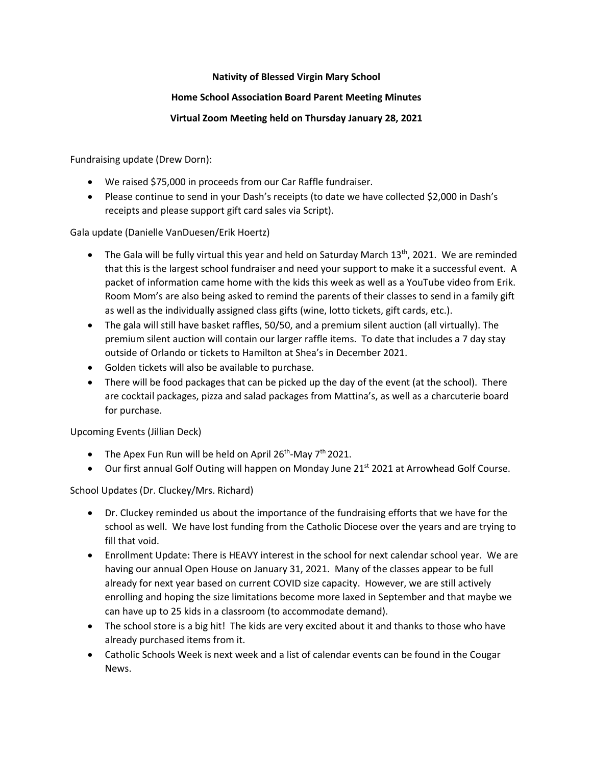## **Nativity of Blessed Virgin Mary School**

## **Home School Association Board Parent Meeting Minutes**

## **Virtual Zoom Meeting held on Thursday January 28, 2021**

Fundraising update (Drew Dorn):

- We raised \$75,000 in proceeds from our Car Raffle fundraiser.
- Please continue to send in your Dash's receipts (to date we have collected \$2,000 in Dash's receipts and please support gift card sales via Script).

Gala update (Danielle VanDuesen/Erik Hoertz)

- The Gala will be fully virtual this year and held on Saturday March 13<sup>th</sup>, 2021. We are reminded that this is the largest school fundraiser and need your support to make it a successful event. A packet of information came home with the kids this week as well as a YouTube video from Erik. Room Mom's are also being asked to remind the parents of their classes to send in a family gift as well as the individually assigned class gifts (wine, lotto tickets, gift cards, etc.).
- The gala will still have basket raffles, 50/50, and a premium silent auction (all virtually). The premium silent auction will contain our larger raffle items. To date that includes a 7 day stay outside of Orlando or tickets to Hamilton at Shea's in December 2021.
- Golden tickets will also be available to purchase.
- There will be food packages that can be picked up the day of the event (at the school). There are cocktail packages, pizza and salad packages from Mattina's, as well as a charcuterie board for purchase.

Upcoming Events (Jillian Deck)

- The Apex Fun Run will be held on April  $26<sup>th</sup>$ -May  $7<sup>th</sup>$  2021.
- Our first annual Golf Outing will happen on Monday June 21<sup>st</sup> 2021 at Arrowhead Golf Course.

School Updates (Dr. Cluckey/Mrs. Richard)

- Dr. Cluckey reminded us about the importance of the fundraising efforts that we have for the school as well. We have lost funding from the Catholic Diocese over the years and are trying to fill that void.
- Enrollment Update: There is HEAVY interest in the school for next calendar school year. We are having our annual Open House on January 31, 2021. Many of the classes appear to be full already for next year based on current COVID size capacity. However, we are still actively enrolling and hoping the size limitations become more laxed in September and that maybe we can have up to 25 kids in a classroom (to accommodate demand).
- The school store is a big hit! The kids are very excited about it and thanks to those who have already purchased items from it.
- Catholic Schools Week is next week and a list of calendar events can be found in the Cougar News.